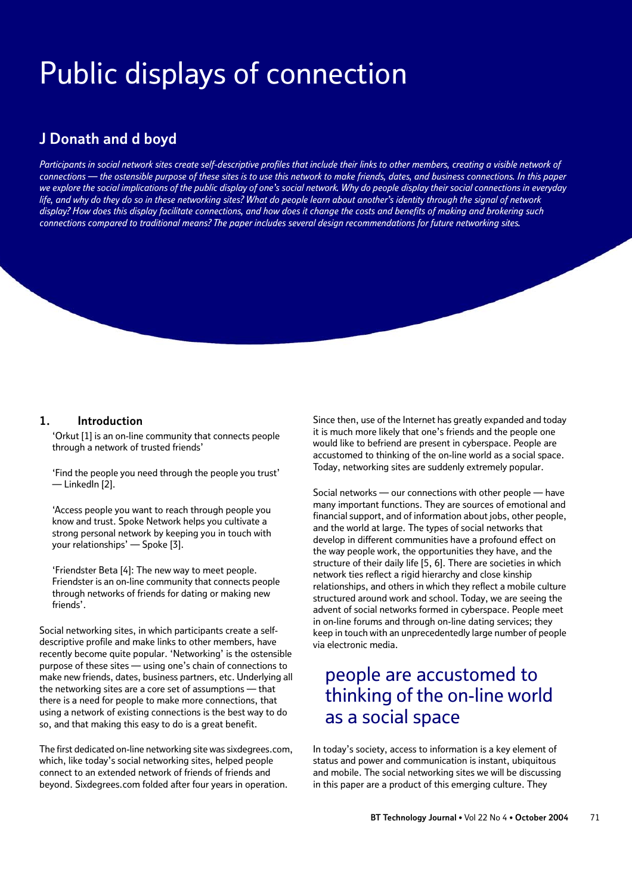# Public displays of connection

### **J Donath and d boyd**

Participants in social network sites create self-descriptive profiles that include their links to other members, creating a visible network of *connections — the ostensible purpose of these sites is to use this network to make friends, dates, and business connections. In this paper we explore the social implications of the public display of one's social network. Why do people display their social connections in everyday life, and why do they do so in these networking sites? What do people learn about another's identity through the signal of network display? How does this display facilitate connections, and how does it change the costs and benefits of making and brokering such connections compared to traditional means? The paper includes several design recommendations for future networking sites.*

### **1. Introduction**

'Orkut [1] is an on-line community that connects people through a network of trusted friends'

'Find the people you need through the people you trust' — LinkedIn [2].

'Access people you want to reach through people you know and trust. Spoke Network helps you cultivate a strong personal network by keeping you in touch with your relationships' — Spoke [3].

'Friendster Beta [4]: The new way to meet people. Friendster is an on-line community that connects people through networks of friends for dating or making new friends'.

Social networking sites, in which participants create a selfdescriptive profile and make links to other members, have recently become quite popular. 'Networking' is the ostensible purpose of these sites — using one's chain of connections to make new friends, dates, business partners, etc. Underlying all the networking sites are a core set of assumptions — that there is a need for people to make more connections, that using a network of existing connections is the best way to do so, and that making this easy to do is a great benefit.

The first dedicated on-line networking site was sixdegrees.com, which, like today's social networking sites, helped people connect to an extended network of friends of friends and beyond. Sixdegrees.com folded after four years in operation.

Since then, use of the Internet has greatly expanded and today it is much more likely that one's friends and the people one would like to befriend are present in cyberspace. People are accustomed to thinking of the on-line world as a social space. Today, networking sites are suddenly extremely popular.

Social networks — our connections with other people — have many important functions. They are sources of emotional and financial support, and of information about jobs, other people, and the world at large. The types of social networks that develop in different communities have a profound effect on the way people work, the opportunities they have, and the structure of their daily life [5, 6]. There are societies in which network ties reflect a rigid hierarchy and close kinship relationships, and others in which they reflect a mobile culture structured around work and school. Today, we are seeing the advent of social networks formed in cyberspace. People meet in on-line forums and through on-line dating services; they keep in touch with an unprecedentedly large number of people via electronic media.

# people are accustomed to thinking of the on-line world as a social space

In today's society, access to information is a key element of status and power and communication is instant, ubiquitous and mobile. The social networking sites we will be discussing in this paper are a product of this emerging culture. They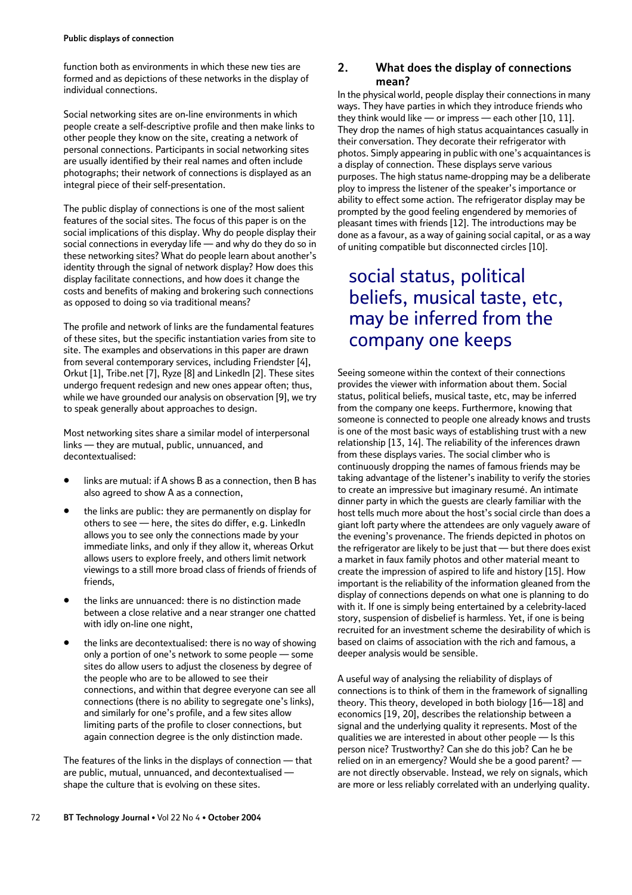function both as environments in which these new ties are formed and as depictions of these networks in the display of individual connections.

Social networking sites are on-line environments in which people create a self-descriptive profile and then make links to other people they know on the site, creating a network of personal connections. Participants in social networking sites are usually identified by their real names and often include photographs; their network of connections is displayed as an integral piece of their self-presentation.

The public display of connections is one of the most salient features of the social sites. The focus of this paper is on the social implications of this display. Why do people display their social connections in everyday life — and why do they do so in these networking sites? What do people learn about another's identity through the signal of network display? How does this display facilitate connections, and how does it change the costs and benefits of making and brokering such connections as opposed to doing so via traditional means?

The profile and network of links are the fundamental features of these sites, but the specific instantiation varies from site to site. The examples and observations in this paper are drawn from several contemporary services, including Friendster [4], Orkut [1], Tribe.net [7], Ryze [8] and LinkedIn [2]. These sites undergo frequent redesign and new ones appear often; thus, while we have grounded our analysis on observation [9], we try to speak generally about approaches to design.

Most networking sites share a similar model of interpersonal links — they are mutual, public, unnuanced, and decontextualised:

- links are mutual: if A shows B as a connection, then B has also agreed to show A as a connection,
- the links are public: they are permanently on display for others to see — here, the sites do differ, e.g. LinkedIn allows you to see only the connections made by your immediate links, and only if they allow it, whereas Orkut allows users to explore freely, and others limit network viewings to a still more broad class of friends of friends of friends,
- the links are unnuanced: there is no distinction made between a close relative and a near stranger one chatted with idly on-line one night,
- the links are decontextualised: there is no way of showing only a portion of one's network to some people — some sites do allow users to adjust the closeness by degree of the people who are to be allowed to see their connections, and within that degree everyone can see all connections (there is no ability to segregate one's links), and similarly for one's profile, and a few sites allow limiting parts of the profile to closer connections, but again connection degree is the only distinction made.

The features of the links in the displays of connection — that are public, mutual, unnuanced, and decontextualised shape the culture that is evolving on these sites.

### **2. What does the display of connections mean?**

In the physical world, people display their connections in many ways. They have parties in which they introduce friends who they think would like — or impress — each other [10, 11]. They drop the names of high status acquaintances casually in their conversation. They decorate their refrigerator with photos. Simply appearing in public with one's acquaintances is a display of connection. These displays serve various purposes. The high status name-dropping may be a deliberate ploy to impress the listener of the speaker's importance or ability to effect some action. The refrigerator display may be prompted by the good feeling engendered by memories of pleasant times with friends [12]. The introductions may be done as a favour, as a way of gaining social capital, or as a way of uniting compatible but disconnected circles [10].

## social status, political beliefs, musical taste, etc, may be inferred from the company one keeps

Seeing someone within the context of their connections provides the viewer with information about them. Social status, political beliefs, musical taste, etc, may be inferred from the company one keeps. Furthermore, knowing that someone is connected to people one already knows and trusts is one of the most basic ways of establishing trust with a new relationship [13, 14]. The reliability of the inferences drawn from these displays varies. The social climber who is continuously dropping the names of famous friends may be taking advantage of the listener's inability to verify the stories to create an impressive but imaginary resumé. An intimate dinner party in which the guests are clearly familiar with the host tells much more about the host's social circle than does a giant loft party where the attendees are only vaguely aware of the evening's provenance. The friends depicted in photos on the refrigerator are likely to be just that — but there does exist a market in faux family photos and other material meant to create the impression of aspired to life and history [15]. How important is the reliability of the information gleaned from the display of connections depends on what one is planning to do with it. If one is simply being entertained by a celebrity-laced story, suspension of disbelief is harmless. Yet, if one is being recruited for an investment scheme the desirability of which is based on claims of association with the rich and famous, a deeper analysis would be sensible.

A useful way of analysing the reliability of displays of connections is to think of them in the framework of signalling theory. This theory, developed in both biology [16—18] and economics [19, 20], describes the relationship between a signal and the underlying quality it represents. Most of the qualities we are interested in about other people — Is this person nice? Trustworthy? Can she do this job? Can he be relied on in an emergency? Would she be a good parent? are not directly observable. Instead, we rely on signals, which are more or less reliably correlated with an underlying quality.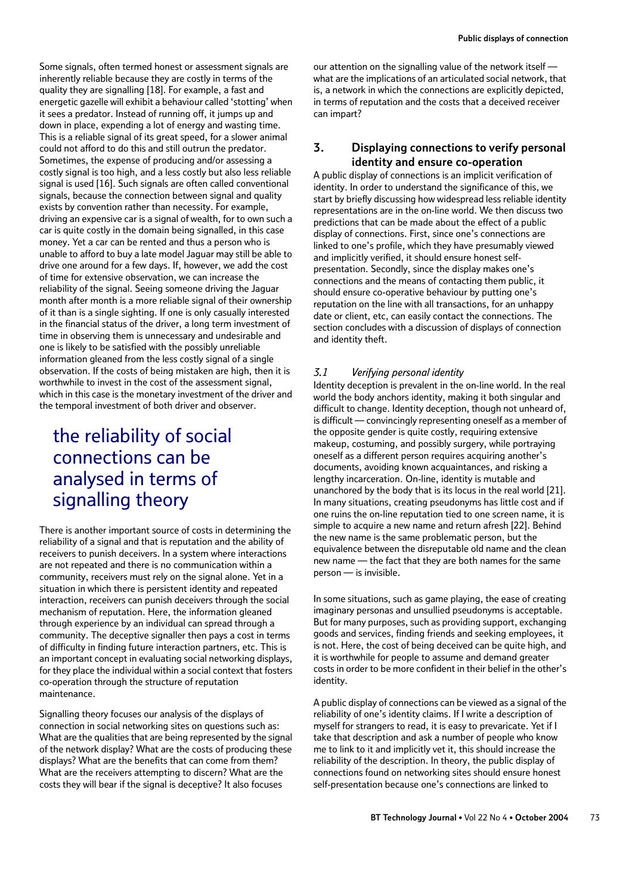Some signals, often termed honest or assessment signals are inherently reliable because they are costly in terms of the quality they are signalling [18]. For example, a fast and energetic gazelle will exhibit a behaviour called 'stotting' when it sees a predator. Instead of running off, it jumps up and down in place, expending a lot of energy and wasting time. This is a reliable signal of its great speed, for a slower animal could not afford to do this and still outrun the predator. Sometimes, the expense of producing and/or assessing a costly signal is too high, and a less costly but also less reliable signal is used [16]. Such signals are often called conventional signals, because the connection between signal and quality exists by convention rather than necessity. For example, driving an expensive car is a signal of wealth, for to own such a car is quite costly in the domain being signalled, in this case money. Yet a car can be rented and thus a person who is unable to afford to buy a late model Jaguar may still be able to drive one around for a few days. If, however, we add the cost of time for extensive observation, we can increase the reliability of the signal. Seeing someone driving the Jaguar month after month is a more reliable signal of their ownership of it than is a single sighting. If one is only casually interested in the financial status of the driver, a long term investment of time in observing them is unnecessary and undesirable and one is likely to be satisfied with the possibly unreliable information gleaned from the less costly signal of a single observation. If the costs of being mistaken are high, then it is worthwhile to invest in the cost of the assessment signal, which in this case is the monetary investment of the driver and the temporal investment of both driver and observer.

### the reliability of social connections can be analysed in terms of signalling theory

There is another important source of costs in determining the reliability of a signal and that is reputation and the ability of receivers to punish deceivers. In a system where interactions are not repeated and there is no communication within a community, receivers must rely on the signal alone. Yet in a situation in which there is persistent identity and repeated interaction, receivers can punish deceivers through the social mechanism of reputation. Here, the information gleaned through experience by an individual can spread through a community. The deceptive signaller then pays a cost in terms of difficulty in finding future interaction partners, etc. This is an important concept in evaluating social networking displays, for they place the individual within a social context that fosters co-operation through the structure of reputation maintenance.

Signalling theory focuses our analysis of the displays of connection in social networking sites on questions such as: What are the qualities that are being represented by the signal of the network display? What are the costs of producing these displays? What are the benefits that can come from them? What are the receivers attempting to discern? What are the costs they will bear if the signal is deceptive? It also focuses

our attention on the signalling value of the network itself what are the implications of an articulated social network, that is, a network in which the connections are explicitly depicted, in terms of reputation and the costs that a deceived receiver can impart?

#### **3. Displaying connections to verify personal identity and ensure co-operation**

A public display of connections is an implicit verification of identity. In order to understand the significance of this, we start by briefly discussing how widespread less reliable identity representations are in the on-line world. We then discuss two predictions that can be made about the effect of a public display of connections. First, since one's connections are linked to one's profile, which they have presumably viewed and implicitly verified, it should ensure honest selfpresentation. Secondly, since the display makes one's connections and the means of contacting them public, it should ensure co-operative behaviour by putting one's reputation on the line with all transactions, for an unhappy date or client, etc, can easily contact the connections. The section concludes with a discussion of displays of connection and identity theft.

#### *3.1 Verifying personal identity*

Identity deception is prevalent in the on-line world. In the real world the body anchors identity, making it both singular and difficult to change. Identity deception, though not unheard of, is difficult — convincingly representing oneself as a member of the opposite gender is quite costly, requiring extensive makeup, costuming, and possibly surgery, while portraying oneself as a different person requires acquiring another's documents, avoiding known acquaintances, and risking a lengthy incarceration. On-line, identity is mutable and unanchored by the body that is its locus in the real world [21]. In many situations, creating pseudonyms has little cost and if one ruins the on-line reputation tied to one screen name, it is simple to acquire a new name and return afresh [22]. Behind the new name is the same problematic person, but the equivalence between the disreputable old name and the clean new name — the fact that they are both names for the same person — is invisible.

In some situations, such as game playing, the ease of creating imaginary personas and unsullied pseudonyms is acceptable. But for many purposes, such as providing support, exchanging goods and services, finding friends and seeking employees, it is not. Here, the cost of being deceived can be quite high, and it is worthwhile for people to assume and demand greater costs in order to be more confident in their belief in the other's identity.

A public display of connections can be viewed as a signal of the reliability of one's identity claims. If I write a description of myself for strangers to read, it is easy to prevaricate. Yet if I take that description and ask a number of people who know me to link to it and implicitly vet it, this should increase the reliability of the description. In theory, the public display of connections found on networking sites should ensure honest self-presentation because one's connections are linked to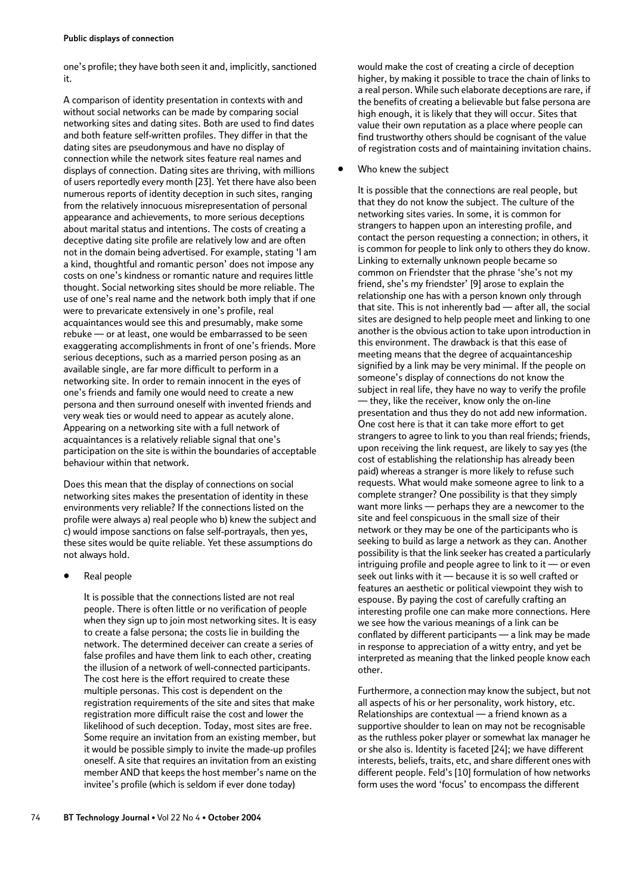one's profile; they have both seen it and, implicitly, sanctioned it.

A comparison of identity presentation in contexts with and without social networks can be made by comparing social networking sites and dating sites. Both are used to find dates and both feature self-written profiles. They differ in that the dating sites are pseudonymous and have no display of connection while the network sites feature real names and displays of connection. Dating sites are thriving, with millions of users reportedly every month [23]. Yet there have also been numerous reports of identity deception in such sites, ranging from the relatively innocuous misrepresentation of personal appearance and achievements, to more serious deceptions about marital status and intentions. The costs of creating a deceptive dating site profile are relatively low and are often not in the domain being advertised. For example, stating 'I am a kind, thoughtful and romantic person' does not impose any costs on one's kindness or romantic nature and requires little thought. Social networking sites should be more reliable. The use of one's real name and the network both imply that if one were to prevaricate extensively in one's profile, real acquaintances would see this and presumably, make some rebuke — or at least, one would be embarrassed to be seen exaggerating accomplishments in front of one's friends. More serious deceptions, such as a married person posing as an available single, are far more difficult to perform in a networking site. In order to remain innocent in the eyes of one's friends and family one would need to create a new persona and then surround oneself with invented friends and very weak ties or would need to appear as acutely alone. Appearing on a networking site with a full network of acquaintances is a relatively reliable signal that one's participation on the site is within the boundaries of acceptable behaviour within that network.

Does this mean that the display of connections on social networking sites makes the presentation of identity in these environments very reliable? If the connections listed on the profile were always a) real people who b) knew the subject and c) would impose sanctions on false self-portrayals, then yes, these sites would be quite reliable. Yet these assumptions do not always hold.

#### • Real people

It is possible that the connections listed are not real people. There is often little or no verification of people when they sign up to join most networking sites. It is easy to create a false persona; the costs lie in building the network. The determined deceiver can create a series of false profiles and have them link to each other, creating the illusion of a network of well-connected participants. The cost here is the effort required to create these multiple personas. This cost is dependent on the registration requirements of the site and sites that make registration more difficult raise the cost and lower the likelihood of such deception. Today, most sites are free. Some require an invitation from an existing member, but it would be possible simply to invite the made-up profiles oneself. A site that requires an invitation from an existing member AND that keeps the host member's name on the invitee's profile (which is seldom if ever done today)

would make the cost of creating a circle of deception higher, by making it possible to trace the chain of links to a real person. While such elaborate deceptions are rare, if the benefits of creating a believable but false persona are high enough, it is likely that they will occur. Sites that value their own reputation as a place where people can find trustworthy others should be cognisant of the value of registration costs and of maintaining invitation chains.

• Who knew the subject

It is possible that the connections are real people, but that they do not know the subject. The culture of the networking sites varies. In some, it is common for strangers to happen upon an interesting profile, and contact the person requesting a connection; in others, it is common for people to link only to others they do know. Linking to externally unknown people became so common on Friendster that the phrase 'she's not my friend, she's my friendster' [9] arose to explain the relationship one has with a person known only through that site. This is not inherently bad — after all, the social sites are designed to help people meet and linking to one another is the obvious action to take upon introduction in this environment. The drawback is that this ease of meeting means that the degree of acquaintanceship signified by a link may be very minimal. If the people on someone's display of connections do not know the subject in real life, they have no way to verify the profile — they, like the receiver, know only the on-line presentation and thus they do not add new information. One cost here is that it can take more effort to get strangers to agree to link to you than real friends; friends, upon receiving the link request, are likely to say yes (the cost of establishing the relationship has already been paid) whereas a stranger is more likely to refuse such requests. What would make someone agree to link to a complete stranger? One possibility is that they simply want more links — perhaps they are a newcomer to the site and feel conspicuous in the small size of their network or they may be one of the participants who is seeking to build as large a network as they can. Another possibility is that the link seeker has created a particularly intriguing profile and people agree to link to it  $-$  or even seek out links with it — because it is so well crafted or features an aesthetic or political viewpoint they wish to espouse. By paying the cost of carefully crafting an interesting profile one can make more connections. Here we see how the various meanings of a link can be conflated by different participants — a link may be made in response to appreciation of a witty entry, and yet be interpreted as meaning that the linked people know each other.

Furthermore, a connection may know the subject, but not all aspects of his or her personality, work history, etc. Relationships are contextual — a friend known as a supportive shoulder to lean on may not be recognisable as the ruthless poker player or somewhat lax manager he or she also is. Identity is faceted [24]; we have different interests, beliefs, traits, etc, and share different ones with different people. Feld's [10] formulation of how networks form uses the word 'focus' to encompass the different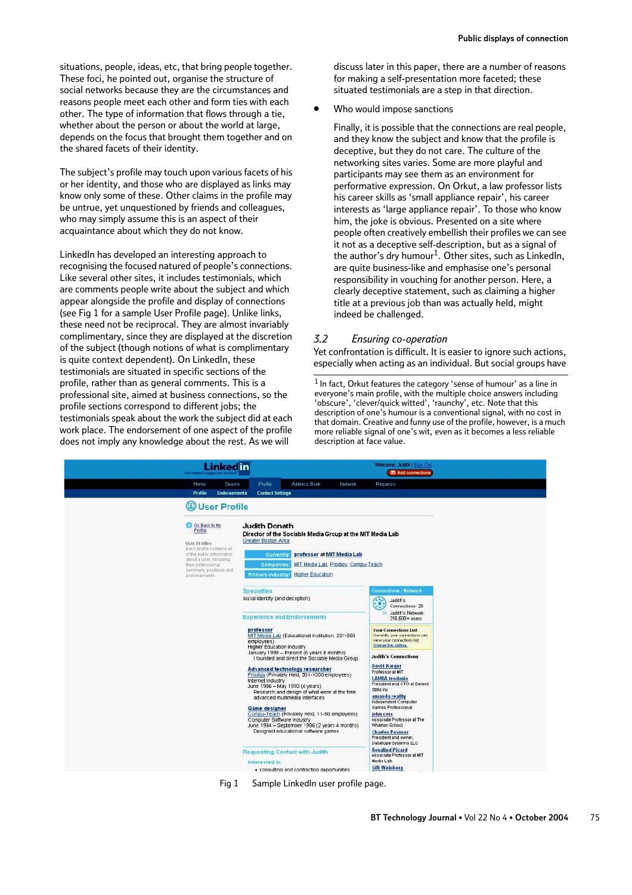situations, people, ideas, etc, that bring people together. These foci, he pointed out, organise the structure of social networks because they are the circumstances and reasons people meet each other and form ties with each other. The type of information that flows through a tie, whether about the person or about the world at large. depends on the focus that brought them together and on the shared facets of their identity.

The subject's profile may touch upon various facets of his or her identity, and those who are displayed as links may know only some of these. Other claims in the profile may be untrue, yet unquestioned by friends and colleagues, who may simply assume this is an aspect of their acquaintance about which they do not know.

LinkedIn has developed an interesting approach to recognising the focused natured of people's connections. Like several other sites, it includes testimonials, which are comments people write about the subject and which appear alongside the profile and display of connections (see Fig 1 for a sample User Profile page). Unlike links, these need not be reciprocal. They are almost invariably complimentary, since they are displayed at the discretion of the subject (though notions of what is complimentary is quite context dependent). On LinkedIn, these testimonials are situated in specific sections of the profile, rather than as general comments. This is a professional site, aimed at business connections, so the profile sections correspond to different jobs; the testimonials speak about the work the subject did at each work place. The endorsement of one aspect of the profile does not imply any knowledge about the rest. As we will

discuss later in this paper, there are a number of reasons for making a self-presentation more faceted; these situated testimonials are a step in that direction.

Who would impose sanctions

Finally, it is possible that the connections are real people, and they know the subject and know that the profile is deceptive, but they do not care. The culture of the networking sites varies. Some are more playful and participants may see them as an environment for performative expression. On Orkut, a law professor lists his career skills as 'small appliance repair', his career interests as 'large appliance repair'. To those who know him, the joke is obvious. Presented on a site where people often creatively embellish their profiles we can see it not as a deceptive self-description, but as a signal of the author's dry humour<sup>1</sup>. Other sites, such as LinkedIn, are quite business-like and emphasise one's personal responsibility in vouching for another person. Here, a clearly deceptive statement, such as claiming a higher title at a previous job than was actually held, might indeed be challenged.

#### *3.2 Ensuring co-operation*

Yet confrontation is difficult. It is easier to ignore such actions, especially when acting as an individual. But social groups have

 $<sup>1</sup>$  In fact, Orkut features the category 'sense of humour' as a line in</sup> everyone's main profile, with the multiple choice answers including 'obscure', 'clever/quick witted', 'raunchy', etc. Note that this description of one's humour is a conventional signal, with no cost in that domain. Creative and funny use of the profile, however, is a much more reliable signal of one's wit, even as it becomes a less reliable description at face value.

| <b>Linked</b> in                                                                                                                                                                                       |                                                                                                                                                                                                                                                                                                     | Welcome, Judith   Sign Out<br>Add connections                                                                                                                                                                  |  |
|--------------------------------------------------------------------------------------------------------------------------------------------------------------------------------------------------------|-----------------------------------------------------------------------------------------------------------------------------------------------------------------------------------------------------------------------------------------------------------------------------------------------------|----------------------------------------------------------------------------------------------------------------------------------------------------------------------------------------------------------------|--|
| Home<br>Search<br>Profile<br><b>Endorsements</b>                                                                                                                                                       | Address Book<br>Profile.<br><b>Network</b><br><b>Contact Settings</b>                                                                                                                                                                                                                               | Requests                                                                                                                                                                                                       |  |
| User Profile                                                                                                                                                                                           |                                                                                                                                                                                                                                                                                                     |                                                                                                                                                                                                                |  |
| Go Back to My<br>Profile<br><b>User Profiles</b><br>Each profile contains all<br>of the public information.<br>about a user, including<br>their professional<br>summary, positions and<br>endorsements | <b>Judith Donath</b><br>Director of the Sociable Media Group at the MIT Media Lab<br>Greater Boston Area<br>professor at MIT Media Lab<br>Currently<br>MIT Media Lab; Prodigy, Compu-Teach<br><b>Companies</b><br><b>Higher Education</b><br><b>Primary Industry</b>                                |                                                                                                                                                                                                                |  |
|                                                                                                                                                                                                        | <b>Specialties</b>                                                                                                                                                                                                                                                                                  | <b>Connections / Network</b>                                                                                                                                                                                   |  |
|                                                                                                                                                                                                        | social identity (and deception)<br><b>Experience and Endorsements</b>                                                                                                                                                                                                                               | G<br>Judith's<br>Connections: 28<br>Judith's Network:<br>316,600+ users                                                                                                                                        |  |
|                                                                                                                                                                                                        | professor<br>MIT Media Lab (Educational Institution, 201-500<br>employees)<br>Higher Education Industry<br>January 1998 - Present (6 years 8 months)                                                                                                                                                | <b>Your Connections List</b><br>Currently your connections can<br>view your connections list.<br>Change this setting.                                                                                          |  |
|                                                                                                                                                                                                        | I founded and direct the Sociable Media Group.<br>Advanced technology researcher<br>Prodigy (Privately Held, 501-1000 employees).<br>Internet Industry<br>June 1986 - May 1990 (4 years)<br>Research and design of what were at the time<br>advanced multimedia interfaces.<br><b>Game designer</b> | <b>Judith's Connections</b><br><b>David Karger</b><br>Professor at MIT<br><b>LAURA</b> teodosio<br>President and CTO at Salient<br>Stills Inc.<br>amanda reality<br>Independent Computer<br>Games Professional |  |
|                                                                                                                                                                                                        | Compu-Teach (Privately Held; 11-50 employees)<br>Computer Software Industry<br>June 1984 - September 1986 (2 years 4 months)<br>Designed educational software games                                                                                                                                 | john core<br>Associate Professor at The<br>Wharton School<br><b>Charles Peysner</b><br>President and owner.<br>Datatrope Systems LLC                                                                           |  |
|                                                                                                                                                                                                        | Requesting Contact with Judith<br>Interested in:<br>· consulting and contracting opportunities                                                                                                                                                                                                      | <b>Resalind Picard</b><br>Associate Professor at MIT<br>Media Lab<br><b>GIII Weinberg</b>                                                                                                                      |  |

Fig 1 Sample LinkedIn user profile page.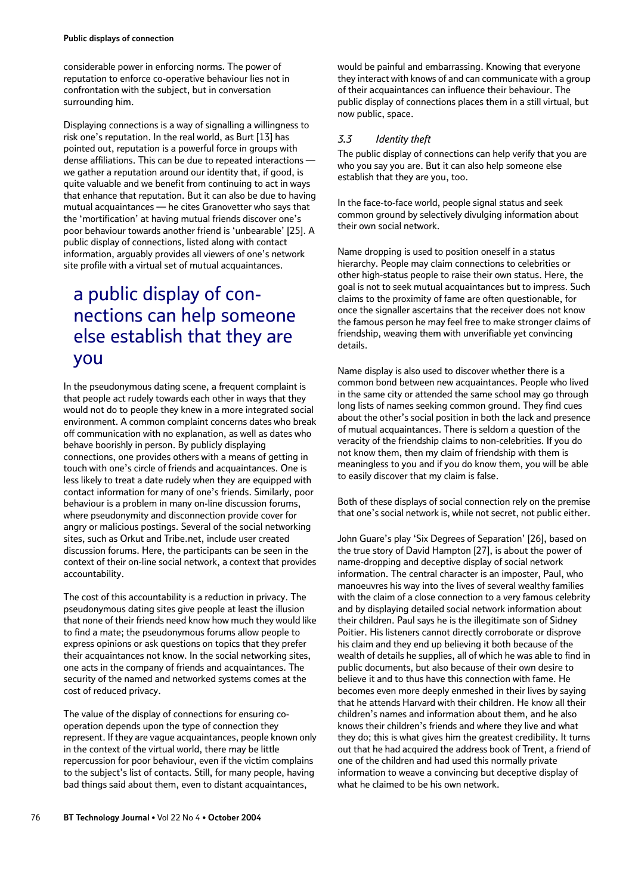considerable power in enforcing norms. The power of reputation to enforce co-operative behaviour lies not in confrontation with the subject, but in conversation surrounding him.

Displaying connections is a way of signalling a willingness to risk one's reputation. In the real world, as Burt [13] has pointed out, reputation is a powerful force in groups with dense affiliations. This can be due to repeated interactions we gather a reputation around our identity that, if good, is quite valuable and we benefit from continuing to act in ways that enhance that reputation. But it can also be due to having mutual acquaintances — he cites Granovetter who says that the 'mortification' at having mutual friends discover one's poor behaviour towards another friend is 'unbearable' [25]. A public display of connections, listed along with contact information, arguably provides all viewers of one's network site profile with a virtual set of mutual acquaintances.

# a public display of connections can help someone else establish that they are you

In the pseudonymous dating scene, a frequent complaint is that people act rudely towards each other in ways that they would not do to people they knew in a more integrated social environment. A common complaint concerns dates who break off communication with no explanation, as well as dates who behave boorishly in person. By publicly displaying connections, one provides others with a means of getting in touch with one's circle of friends and acquaintances. One is less likely to treat a date rudely when they are equipped with contact information for many of one's friends. Similarly, poor behaviour is a problem in many on-line discussion forums, where pseudonymity and disconnection provide cover for angry or malicious postings. Several of the social networking sites, such as Orkut and Tribe.net, include user created discussion forums. Here, the participants can be seen in the context of their on-line social network, a context that provides accountability.

The cost of this accountability is a reduction in privacy. The pseudonymous dating sites give people at least the illusion that none of their friends need know how much they would like to find a mate; the pseudonymous forums allow people to express opinions or ask questions on topics that they prefer their acquaintances not know. In the social networking sites, one acts in the company of friends and acquaintances. The security of the named and networked systems comes at the cost of reduced privacy.

The value of the display of connections for ensuring cooperation depends upon the type of connection they represent. If they are vague acquaintances, people known only in the context of the virtual world, there may be little repercussion for poor behaviour, even if the victim complains to the subject's list of contacts. Still, for many people, having bad things said about them, even to distant acquaintances,

would be painful and embarrassing. Knowing that everyone they interact with knows of and can communicate with a group of their acquaintances can influence their behaviour. The public display of connections places them in a still virtual, but now public, space.

#### *3.3 Identity theft*

The public display of connections can help verify that you are who you say you are. But it can also help someone else establish that they are you, too.

In the face-to-face world, people signal status and seek common ground by selectively divulging information about their own social network.

Name dropping is used to position oneself in a status hierarchy. People may claim connections to celebrities or other high-status people to raise their own status. Here, the goal is not to seek mutual acquaintances but to impress. Such claims to the proximity of fame are often questionable, for once the signaller ascertains that the receiver does not know the famous person he may feel free to make stronger claims of friendship, weaving them with unverifiable yet convincing details.

Name display is also used to discover whether there is a common bond between new acquaintances. People who lived in the same city or attended the same school may go through long lists of names seeking common ground. They find cues about the other's social position in both the lack and presence of mutual acquaintances. There is seldom a question of the veracity of the friendship claims to non-celebrities. If you do not know them, then my claim of friendship with them is meaningless to you and if you do know them, you will be able to easily discover that my claim is false.

Both of these displays of social connection rely on the premise that one's social network is, while not secret, not public either.

John Guare's play 'Six Degrees of Separation' [26], based on the true story of David Hampton [27], is about the power of name-dropping and deceptive display of social network information. The central character is an imposter, Paul, who manoeuvres his way into the lives of several wealthy families with the claim of a close connection to a very famous celebrity and by displaying detailed social network information about their children. Paul says he is the illegitimate son of Sidney Poitier. His listeners cannot directly corroborate or disprove his claim and they end up believing it both because of the wealth of details he supplies, all of which he was able to find in public documents, but also because of their own desire to believe it and to thus have this connection with fame. He becomes even more deeply enmeshed in their lives by saying that he attends Harvard with their children. He know all their children's names and information about them, and he also knows their children's friends and where they live and what they do; this is what gives him the greatest credibility. It turns out that he had acquired the address book of Trent, a friend of one of the children and had used this normally private information to weave a convincing but deceptive display of what he claimed to be his own network.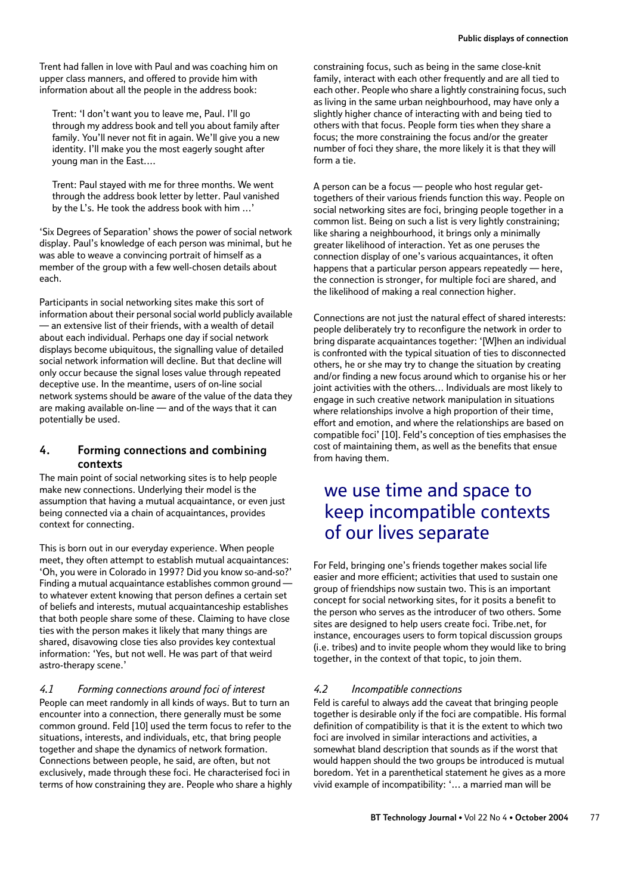Trent had fallen in love with Paul and was coaching him on upper class manners, and offered to provide him with information about all the people in the address book:

Trent: 'I don't want you to leave me, Paul. I'll go through my address book and tell you about family after family. You'll never not fit in again. We'll give you a new identity. I'll make you the most eagerly sought after young man in the East....

Trent: Paul stayed with me for three months. We went through the address book letter by letter. Paul vanished by the L's. He took the address book with him ...'

'Six Degrees of Separation' shows the power of social network display. Paul's knowledge of each person was minimal, but he was able to weave a convincing portrait of himself as a member of the group with a few well-chosen details about each.

Participants in social networking sites make this sort of information about their personal social world publicly available — an extensive list of their friends, with a wealth of detail about each individual. Perhaps one day if social network displays become ubiquitous, the signalling value of detailed social network information will decline. But that decline will only occur because the signal loses value through repeated deceptive use. In the meantime, users of on-line social network systems should be aware of the value of the data they are making available on-line — and of the ways that it can potentially be used.

### **4. Forming connections and combining contexts**

The main point of social networking sites is to help people make new connections. Underlying their model is the assumption that having a mutual acquaintance, or even just being connected via a chain of acquaintances, provides context for connecting.

This is born out in our everyday experience. When people meet, they often attempt to establish mutual acquaintances: 'Oh, you were in Colorado in 1997? Did you know so-and-so?' Finding a mutual acquaintance establishes common ground to whatever extent knowing that person defines a certain set of beliefs and interests, mutual acquaintanceship establishes that both people share some of these. Claiming to have close ties with the person makes it likely that many things are shared, disavowing close ties also provides key contextual information: 'Yes, but not well. He was part of that weird astro-therapy scene.'

*4.1 Forming connections around foci of interest* People can meet randomly in all kinds of ways. But to turn an encounter into a connection, there generally must be some common ground. Feld [10] used the term focus to refer to the situations, interests, and individuals, etc, that bring people together and shape the dynamics of network formation. Connections between people, he said, are often, but not exclusively, made through these foci. He characterised foci in terms of how constraining they are. People who share a highly

constraining focus, such as being in the same close-knit family, interact with each other frequently and are all tied to each other. People who share a lightly constraining focus, such as living in the same urban neighbourhood, may have only a slightly higher chance of interacting with and being tied to others with that focus. People form ties when they share a focus; the more constraining the focus and/or the greater number of foci they share, the more likely it is that they will form a tie.

A person can be a focus — people who host regular gettogethers of their various friends function this way. People on social networking sites are foci, bringing people together in a common list. Being on such a list is very lightly constraining; like sharing a neighbourhood, it brings only a minimally greater likelihood of interaction. Yet as one peruses the connection display of one's various acquaintances, it often happens that a particular person appears repeatedly — here, the connection is stronger, for multiple foci are shared, and the likelihood of making a real connection higher.

Connections are not just the natural effect of shared interests: people deliberately try to reconfigure the network in order to bring disparate acquaintances together: '[W]hen an individual is confronted with the typical situation of ties to disconnected others, he or she may try to change the situation by creating and/or finding a new focus around which to organise his or her joint activities with the others... Individuals are most likely to engage in such creative network manipulation in situations where relationships involve a high proportion of their time, effort and emotion, and where the relationships are based on compatible foci' [10]. Feld's conception of ties emphasises the cost of maintaining them, as well as the benefits that ensue from having them.

# we use time and space to keep incompatible contexts of our lives separate

For Feld, bringing one's friends together makes social life easier and more efficient; activities that used to sustain one group of friendships now sustain two. This is an important concept for social networking sites, for it posits a benefit to the person who serves as the introducer of two others. Some sites are designed to help users create foci. Tribe.net, for instance, encourages users to form topical discussion groups (i.e. tribes) and to invite people whom they would like to bring together, in the context of that topic, to join them.

### *4.2 Incompatible connections*

Feld is careful to always add the caveat that bringing people together is desirable only if the foci are compatible. His formal definition of compatibility is that it is the extent to which two foci are involved in similar interactions and activities, a somewhat bland description that sounds as if the worst that would happen should the two groups be introduced is mutual boredom. Yet in a parenthetical statement he gives as a more vivid example of incompatibility: '... a married man will be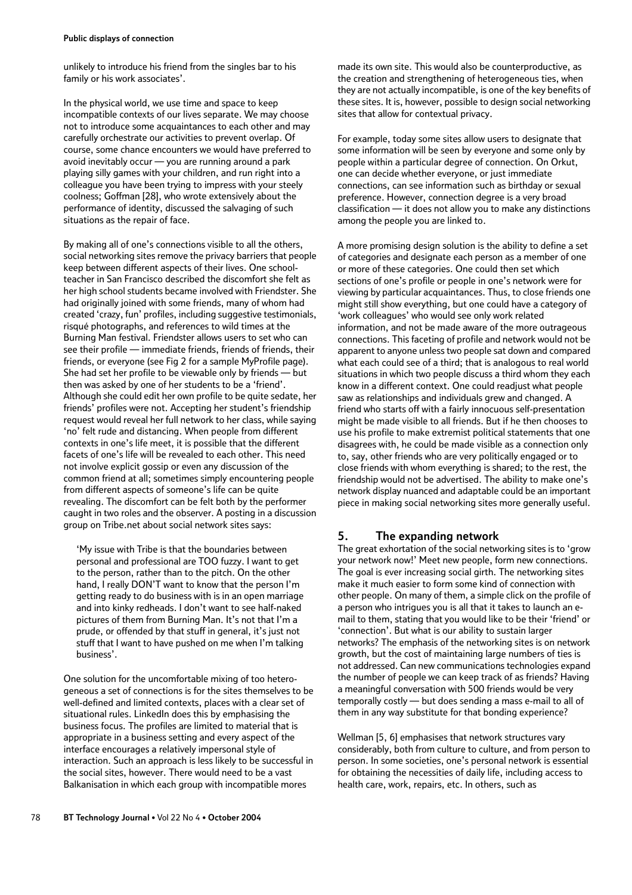unlikely to introduce his friend from the singles bar to his family or his work associates'.

In the physical world, we use time and space to keep incompatible contexts of our lives separate. We may choose not to introduce some acquaintances to each other and may carefully orchestrate our activities to prevent overlap. Of course, some chance encounters we would have preferred to avoid inevitably occur — you are running around a park playing silly games with your children, and run right into a colleague you have been trying to impress with your steely coolness; Goffman [28], who wrote extensively about the performance of identity, discussed the salvaging of such situations as the repair of face.

By making all of one's connections visible to all the others, social networking sites remove the privacy barriers that people keep between different aspects of their lives. One schoolteacher in San Francisco described the discomfort she felt as her high school students became involved with Friendster. She had originally joined with some friends, many of whom had created 'crazy, fun' profiles, including suggestive testimonials, risqué photographs, and references to wild times at the Burning Man festival. Friendster allows users to set who can see their profile — immediate friends, friends of friends, their friends, or everyone (see Fig 2 for a sample MyProfile page). She had set her profile to be viewable only by friends — but then was asked by one of her students to be a 'friend'. Although she could edit her own profile to be quite sedate, her friends' profiles were not. Accepting her student's friendship request would reveal her full network to her class, while saying 'no' felt rude and distancing. When people from different contexts in one's life meet, it is possible that the different facets of one's life will be revealed to each other. This need not involve explicit gossip or even any discussion of the common friend at all; sometimes simply encountering people from different aspects of someone's life can be quite revealing. The discomfort can be felt both by the performer caught in two roles and the observer. A posting in a discussion group on Tribe.net about social network sites says:

'My issue with Tribe is that the boundaries between personal and professional are TOO fuzzy. I want to get to the person, rather than to the pitch. On the other hand, I really DON'T want to know that the person I'm getting ready to do business with is in an open marriage and into kinky redheads. I don't want to see half-naked pictures of them from Burning Man. It's not that I'm a prude, or offended by that stuff in general, it's just not stuff that I want to have pushed on me when I'm talking business'.

One solution for the uncomfortable mixing of too heterogeneous a set of connections is for the sites themselves to be well-defined and limited contexts, places with a clear set of situational rules. LinkedIn does this by emphasising the business focus. The profiles are limited to material that is appropriate in a business setting and every aspect of the interface encourages a relatively impersonal style of interaction. Such an approach is less likely to be successful in the social sites, however. There would need to be a vast Balkanisation in which each group with incompatible mores

made its own site. This would also be counterproductive, as the creation and strengthening of heterogeneous ties, when they are not actually incompatible, is one of the key benefits of these sites. It is, however, possible to design social networking sites that allow for contextual privacy.

For example, today some sites allow users to designate that some information will be seen by everyone and some only by people within a particular degree of connection. On Orkut, one can decide whether everyone, or just immediate connections, can see information such as birthday or sexual preference. However, connection degree is a very broad classification — it does not allow you to make any distinctions among the people you are linked to.

A more promising design solution is the ability to define a set of categories and designate each person as a member of one or more of these categories. One could then set which sections of one's profile or people in one's network were for viewing by particular acquaintances. Thus, to close friends one might still show everything, but one could have a category of 'work colleagues' who would see only work related information, and not be made aware of the more outrageous connections. This faceting of profile and network would not be apparent to anyone unless two people sat down and compared what each could see of a third; that is analogous to real world situations in which two people discuss a third whom they each know in a different context. One could readjust what people saw as relationships and individuals grew and changed. A friend who starts off with a fairly innocuous self-presentation might be made visible to all friends. But if he then chooses to use his profile to make extremist political statements that one disagrees with, he could be made visible as a connection only to, say, other friends who are very politically engaged or to close friends with whom everything is shared; to the rest, the friendship would not be advertised. The ability to make one's network display nuanced and adaptable could be an important piece in making social networking sites more generally useful.

#### **5. The expanding network**

The great exhortation of the social networking sites is to 'grow your network now!' Meet new people, form new connections. The goal is ever increasing social girth. The networking sites make it much easier to form some kind of connection with other people. On many of them, a simple click on the profile of a person who intrigues you is all that it takes to launch an email to them, stating that you would like to be their 'friend' or 'connection'. But what is our ability to sustain larger networks? The emphasis of the networking sites is on network growth, but the cost of maintaining large numbers of ties is not addressed. Can new communications technologies expand the number of people we can keep track of as friends? Having a meaningful conversation with 500 friends would be very temporally costly — but does sending a mass e-mail to all of them in any way substitute for that bonding experience?

Wellman [5, 6] emphasises that network structures vary considerably, both from culture to culture, and from person to person. In some societies, one's personal network is essential for obtaining the necessities of daily life, including access to health care, work, repairs, etc. In others, such as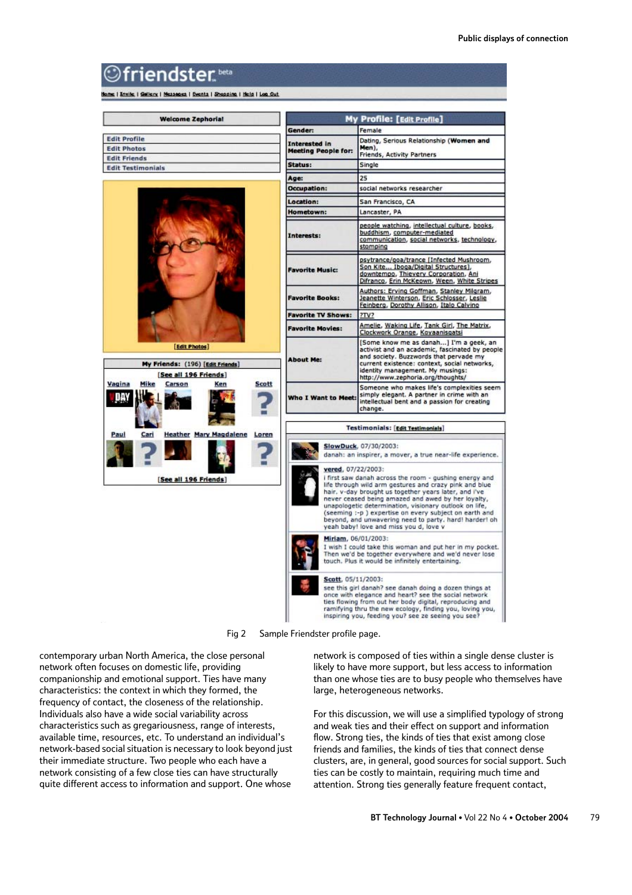### $\mathbin{\odot}$ friendster. $^{{\tt beta}}$

Home I Karike I Gallery I Messages I Events I Shopping I Help I Log Out

| <b>Welcome Zephorial</b>                                                   |                                                                                                                                                                                                                                                                                                                                                                                                                                                                               | <b>My Profile: [Edit Profile]</b>                                                                                                                                                                                                                           |  |
|----------------------------------------------------------------------------|-------------------------------------------------------------------------------------------------------------------------------------------------------------------------------------------------------------------------------------------------------------------------------------------------------------------------------------------------------------------------------------------------------------------------------------------------------------------------------|-------------------------------------------------------------------------------------------------------------------------------------------------------------------------------------------------------------------------------------------------------------|--|
|                                                                            | Gender:                                                                                                                                                                                                                                                                                                                                                                                                                                                                       | Female                                                                                                                                                                                                                                                      |  |
| <b>Edit Profile</b><br><b>Edit Photos</b>                                  | <b>Interested in</b><br><b>Meeting People for:</b>                                                                                                                                                                                                                                                                                                                                                                                                                            | Dating, Serious Relationship (Women and<br>Men).<br>Friends, Activity Partners                                                                                                                                                                              |  |
| <b>Edit Friends</b><br><b>Edit Testimonials</b>                            | Status:                                                                                                                                                                                                                                                                                                                                                                                                                                                                       | Single                                                                                                                                                                                                                                                      |  |
|                                                                            |                                                                                                                                                                                                                                                                                                                                                                                                                                                                               | 25                                                                                                                                                                                                                                                          |  |
|                                                                            | Age:<br>Occupation:                                                                                                                                                                                                                                                                                                                                                                                                                                                           | social networks researcher                                                                                                                                                                                                                                  |  |
|                                                                            |                                                                                                                                                                                                                                                                                                                                                                                                                                                                               |                                                                                                                                                                                                                                                             |  |
|                                                                            | Location:                                                                                                                                                                                                                                                                                                                                                                                                                                                                     | San Francisco, CA                                                                                                                                                                                                                                           |  |
|                                                                            | Hometown:<br>Lancaster, PA                                                                                                                                                                                                                                                                                                                                                                                                                                                    |                                                                                                                                                                                                                                                             |  |
|                                                                            | Interests:                                                                                                                                                                                                                                                                                                                                                                                                                                                                    | people watching, intellectual culture, books,<br>buddhism, computer-mediated<br>communication, social networks, technology,<br>stomping                                                                                                                     |  |
|                                                                            | <b>Favorite Music:</b>                                                                                                                                                                                                                                                                                                                                                                                                                                                        | psytrance/goa/trance [Infected Mushroom,<br>Son Kite Iboga/Digital Structures],<br>downtempo, Thievery Corporation, Ani<br>Difranco, Erin McKeown, Ween, White Stripes                                                                                      |  |
|                                                                            | <b>Favorite Books:</b>                                                                                                                                                                                                                                                                                                                                                                                                                                                        | Authors: Erving Goffman, Stanley Milgram,<br>Jeanette Winterson, Eric Schlosser, Leslie<br>Feinberg, Dorothy Allison, Italo Calvino                                                                                                                         |  |
|                                                                            | <b>Favorite TV Shows:</b>                                                                                                                                                                                                                                                                                                                                                                                                                                                     | ?TV?                                                                                                                                                                                                                                                        |  |
|                                                                            | <b>Favorite Movies:</b>                                                                                                                                                                                                                                                                                                                                                                                                                                                       | Amelie, Waking Life, Tank Girl, The Matrix,<br>Clockwork Orange, Koyaanisgatsi                                                                                                                                                                              |  |
| [Edit Photos]<br>My Friends: (196) [Edit Friends]<br>[See all 196 Friends] | <b>About Me:</b>                                                                                                                                                                                                                                                                                                                                                                                                                                                              | [Some know me as danah] I'm a geek, an<br>activist and an academic, fascinated by people<br>and society. Buzzwords that pervade my<br>current existence: context, social networks,<br>identity management. My musings:<br>http://www.zephoria.org/thoughts/ |  |
| Vagina<br>Carson<br>Mike<br>Ken<br>Scott                                   | Who I Want to Meet:                                                                                                                                                                                                                                                                                                                                                                                                                                                           | Someone who makes life's complexities seem<br>simply elegant. A partner in crime with an<br>intellectual bent and a passion for creating<br>change.                                                                                                         |  |
| Paul<br><b>Heather Mary Magdalene</b><br>Cari<br>Loren                     | <b>Testimonials: [Edit Testimonials]</b>                                                                                                                                                                                                                                                                                                                                                                                                                                      |                                                                                                                                                                                                                                                             |  |
|                                                                            | SlowDuck, 07/30/2003:<br>danah: an inspirer, a mover, a true near-life experience.                                                                                                                                                                                                                                                                                                                                                                                            |                                                                                                                                                                                                                                                             |  |
| [See all 196 Friends]                                                      | vered, 07/22/2003:<br>i first saw danah across the room - gushing energy and<br>life through wild arm gestures and crazy pink and blue<br>hair. v-day brought us together years later, and I've<br>never ceased being amazed and awed by her loyalty,<br>unapologetic determination, visionary outlook on life,<br>(seeming :- p) expertise on every subject on earth and<br>beyond, and unwavering need to party. hard! harder! oh<br>yeah baby! love and miss you d, love v |                                                                                                                                                                                                                                                             |  |
|                                                                            | Miriam, 06/01/2003:<br>I wish I could take this woman and put her in my pocket.<br>Then we'd be together everywhere and we'd never lose<br>touch. Plus it would be infinitely entertaining.                                                                                                                                                                                                                                                                                   |                                                                                                                                                                                                                                                             |  |
|                                                                            | Scott, 05/11/2003:<br>see this girl danah? see danah doing a dozen things at<br>once with elegance and heart? see the social network<br>ties flowing from out her body digital, reproducing and<br>ramifying thru the new ecology, finding you, loving you,<br>inspiring you, feeding you? see ze seeing you see?                                                                                                                                                             |                                                                                                                                                                                                                                                             |  |

Fig 2 Sample Friendster profile page.

contemporary urban North America, the close personal network often focuses on domestic life, providing companionship and emotional support. Ties have many characteristics: the context in which they formed, the frequency of contact, the closeness of the relationship. Individuals also have a wide social variability across characteristics such as gregariousness, range of interests, available time, resources, etc. To understand an individual's network-based social situation is necessary to look beyond just their immediate structure. Two people who each have a network consisting of a few close ties can have structurally quite different access to information and support. One whose

network is composed of ties within a single dense cluster is likely to have more support, but less access to information than one whose ties are to busy people who themselves have large, heterogeneous networks.

For this discussion, we will use a simplified typology of strong and weak ties and their effect on support and information flow. Strong ties, the kinds of ties that exist among close friends and families, the kinds of ties that connect dense clusters, are, in general, good sources for social support. Such ties can be costly to maintain, requiring much time and attention. Strong ties generally feature frequent contact,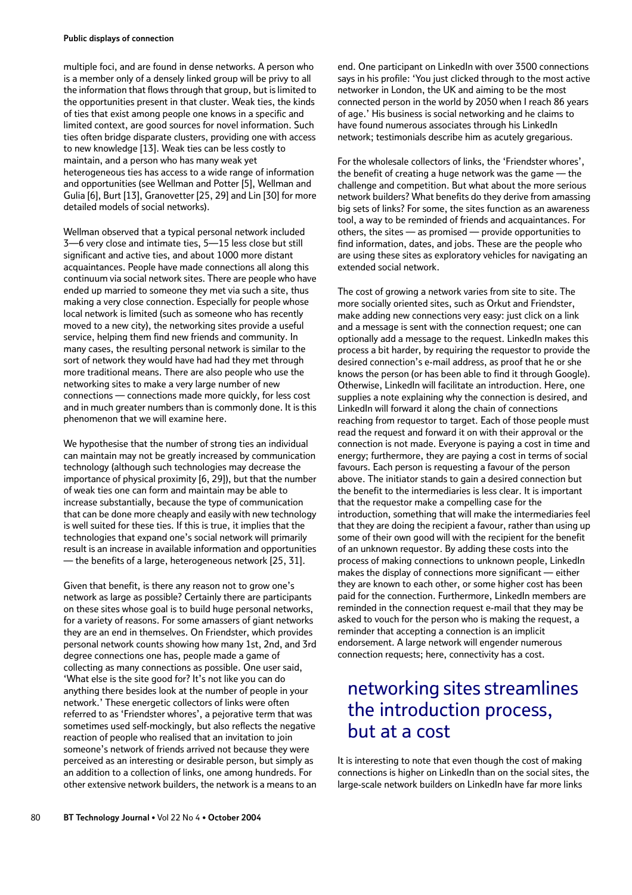multiple foci, and are found in dense networks. A person who is a member only of a densely linked group will be privy to all the information that flows through that group, but is limited to the opportunities present in that cluster. Weak ties, the kinds of ties that exist among people one knows in a specific and limited context, are good sources for novel information. Such ties often bridge disparate clusters, providing one with access to new knowledge [13]. Weak ties can be less costly to maintain, and a person who has many weak yet heterogeneous ties has access to a wide range of information and opportunities (see Wellman and Potter [5], Wellman and Gulia [6], Burt [13], Granovetter [25, 29] and Lin [30] for more detailed models of social networks).

Wellman observed that a typical personal network included 3—6 very close and intimate ties, 5—15 less close but still significant and active ties, and about 1000 more distant acquaintances. People have made connections all along this continuum via social network sites. There are people who have ended up married to someone they met via such a site, thus making a very close connection. Especially for people whose local network is limited (such as someone who has recently moved to a new city), the networking sites provide a useful service, helping them find new friends and community. In many cases, the resulting personal network is similar to the sort of network they would have had had they met through more traditional means. There are also people who use the networking sites to make a very large number of new connections — connections made more quickly, for less cost and in much greater numbers than is commonly done. It is this phenomenon that we will examine here.

We hypothesise that the number of strong ties an individual can maintain may not be greatly increased by communication technology (although such technologies may decrease the importance of physical proximity [6, 29]), but that the number of weak ties one can form and maintain may be able to increase substantially, because the type of communication that can be done more cheaply and easily with new technology is well suited for these ties. If this is true, it implies that the technologies that expand one's social network will primarily result is an increase in available information and opportunities — the benefits of a large, heterogeneous network [25, 31].

Given that benefit, is there any reason not to grow one's network as large as possible? Certainly there are participants on these sites whose goal is to build huge personal networks, for a variety of reasons. For some amassers of giant networks they are an end in themselves. On Friendster, which provides personal network counts showing how many 1st, 2nd, and 3rd degree connections one has, people made a game of collecting as many connections as possible. One user said, 'What else is the site good for? It's not like you can do anything there besides look at the number of people in your network.' These energetic collectors of links were often referred to as 'Friendster whores', a pejorative term that was sometimes used self-mockingly, but also reflects the negative reaction of people who realised that an invitation to join someone's network of friends arrived not because they were perceived as an interesting or desirable person, but simply as an addition to a collection of links, one among hundreds. For other extensive network builders, the network is a means to an end. One participant on LinkedIn with over 3500 connections says in his profile: 'You just clicked through to the most active networker in London, the UK and aiming to be the most connected person in the world by 2050 when I reach 86 years of age.' His business is social networking and he claims to have found numerous associates through his LinkedIn network; testimonials describe him as acutely gregarious.

For the wholesale collectors of links, the 'Friendster whores', the benefit of creating a huge network was the game — the challenge and competition. But what about the more serious network builders? What benefits do they derive from amassing big sets of links? For some, the sites function as an awareness tool, a way to be reminded of friends and acquaintances. For others, the sites — as promised — provide opportunities to find information, dates, and jobs. These are the people who are using these sites as exploratory vehicles for navigating an extended social network.

The cost of growing a network varies from site to site. The more socially oriented sites, such as Orkut and Friendster, make adding new connections very easy: just click on a link and a message is sent with the connection request; one can optionally add a message to the request. LinkedIn makes this process a bit harder, by requiring the requestor to provide the desired connection's e-mail address, as proof that he or she knows the person (or has been able to find it through Google). Otherwise, LinkedIn will facilitate an introduction. Here, one supplies a note explaining why the connection is desired, and LinkedIn will forward it along the chain of connections reaching from requestor to target. Each of those people must read the request and forward it on with their approval or the connection is not made. Everyone is paying a cost in time and energy; furthermore, they are paying a cost in terms of social favours. Each person is requesting a favour of the person above. The initiator stands to gain a desired connection but the benefit to the intermediaries is less clear. It is important that the requestor make a compelling case for the introduction, something that will make the intermediaries feel that they are doing the recipient a favour, rather than using up some of their own good will with the recipient for the benefit of an unknown requestor. By adding these costs into the process of making connections to unknown people, LinkedIn makes the display of connections more significant — either they are known to each other, or some higher cost has been paid for the connection. Furthermore, LinkedIn members are reminded in the connection request e-mail that they may be asked to vouch for the person who is making the request, a reminder that accepting a connection is an implicit endorsement. A large network will engender numerous connection requests; here, connectivity has a cost.

### networking sites streamlines the introduction process, but at a cost

It is interesting to note that even though the cost of making connections is higher on LinkedIn than on the social sites, the large-scale network builders on LinkedIn have far more links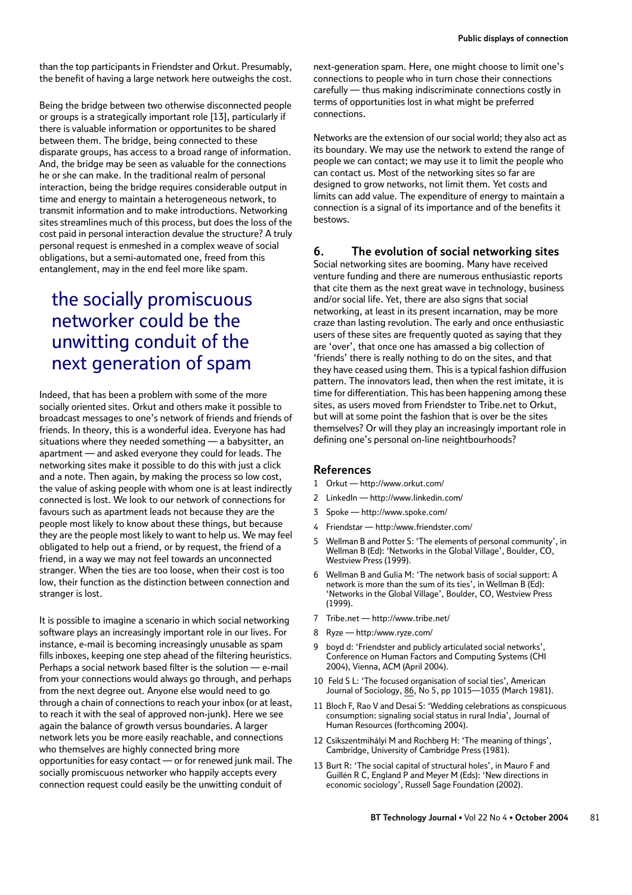than the top participants in Friendster and Orkut. Presumably, the benefit of having a large network here outweighs the cost.

Being the bridge between two otherwise disconnected people or groups is a strategically important role [13], particularly if there is valuable information or opportunites to be shared between them. The bridge, being connected to these disparate groups, has access to a broad range of information. And, the bridge may be seen as valuable for the connections he or she can make. In the traditional realm of personal interaction, being the bridge requires considerable output in time and energy to maintain a heterogeneous network, to transmit information and to make introductions. Networking sites streamlines much of this process, but does the loss of the cost paid in personal interaction devalue the structure? A truly personal request is enmeshed in a complex weave of social obligations, but a semi-automated one, freed from this entanglement, may in the end feel more like spam.

## the socially promiscuous networker could be the unwitting conduit of the next generation of spam

Indeed, that has been a problem with some of the more socially oriented sites. Orkut and others make it possible to broadcast messages to one's network of friends and friends of friends. In theory, this is a wonderful idea. Everyone has had situations where they needed something — a babysitter, an apartment — and asked everyone they could for leads. The networking sites make it possible to do this with just a click and a note. Then again, by making the process so low cost, the value of asking people with whom one is at least indirectly connected is lost. We look to our network of connections for favours such as apartment leads not because they are the people most likely to know about these things, but because they are the people most likely to want to help us. We may feel obligated to help out a friend, or by request, the friend of a friend, in a way we may not feel towards an unconnected stranger. When the ties are too loose, when their cost is too low, their function as the distinction between connection and stranger is lost.

It is possible to imagine a scenario in which social networking software plays an increasingly important role in our lives. For instance, e-mail is becoming increasingly unusable as spam fills inboxes, keeping one step ahead of the filtering heuristics. Perhaps a social network based filter is the solution — e-mail from your connections would always go through, and perhaps from the next degree out. Anyone else would need to go through a chain of connections to reach your inbox (or at least, to reach it with the seal of approved non-junk). Here we see again the balance of growth versus boundaries. A larger network lets you be more easily reachable, and connections who themselves are highly connected bring more opportunities for easy contact — or for renewed junk mail. The socially promiscuous networker who happily accepts every connection request could easily be the unwitting conduit of

next-generation spam. Here, one might choose to limit one's connections to people who in turn chose their connections carefully — thus making indiscriminate connections costly in terms of opportunities lost in what might be preferred connections.

Networks are the extension of our social world; they also act as its boundary. We may use the network to extend the range of people we can contact; we may use it to limit the people who can contact us. Most of the networking sites so far are designed to grow networks, not limit them. Yet costs and limits can add value. The expenditure of energy to maintain a connection is a signal of its importance and of the benefits it bestows.

### **6. The evolution of social networking sites**

Social networking sites are booming. Many have received venture funding and there are numerous enthusiastic reports that cite them as the next great wave in technology, business and/or social life. Yet, there are also signs that social networking, at least in its present incarnation, may be more craze than lasting revolution. The early and once enthusiastic users of these sites are frequently quoted as saying that they are 'over', that once one has amassed a big collection of 'friends' there is really nothing to do on the sites, and that they have ceased using them. This is a typical fashion diffusion pattern. The innovators lead, then when the rest imitate, it is time for differentiation. This has been happening among these sites, as users moved from Friendster to Tribe.net to Orkut, but will at some point the fashion that is over be the sites themselves? Or will they play an increasingly important role in defining one's personal on-line neightbourhoods?

#### **References**

- 1 Orkut http://www.orkut.com/
- 2 LinkedIn http://www.linkedin.com/
- 3 Spoke http://www.spoke.com/
- 4 Friendstar http:/www.friendster.com/
- 5 Wellman B and Potter S: 'The elements of personal community', in Wellman B (Ed): 'Networks in the Global Village', Boulder, CO, Westview Press (1999).
- 6 Wellman B and Gulia M: 'The network basis of social support: A network is more than the sum of its ties', in Wellman B (Ed): 'Networks in the Global Village', Boulder, CO, Westview Press (1999).
- 7 Tribe.net http://www.tribe.net/
- 8 Ryze http:/www.ryze.com/
- boyd d: 'Friendster and publicly articulated social networks', Conference on Human Factors and Computing Systems (CHI 2004), Vienna, ACM (April 2004).
- 10 Feld S L: 'The focused organisation of social ties', American Journal of Sociology, 86, No 5, pp 1015—1035 (March 1981).
- 11 Bloch F, Rao V and Desai S: 'Wedding celebrations as conspicuous consumption: signaling social status in rural India', Journal of Human Resources (forthcoming 2004).
- 12 Csikszentmihályi M and Rochberg H: 'The meaning of things', Cambridge, University of Cambridge Press (1981).
- 13 Burt R: 'The social capital of structural holes', in Mauro F and Guillén R C, England P and Meyer M (Eds): 'New directions in economic sociology', Russell Sage Foundation (2002).